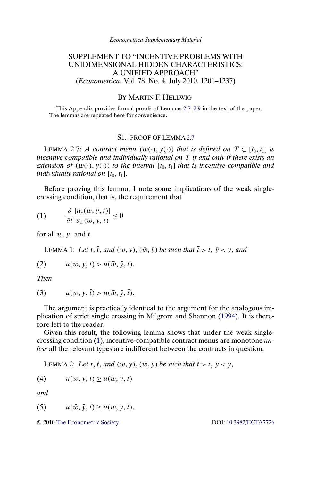*Econometrica Supplementary Material*

# <span id="page-0-0"></span>SUPPLEMENT TO "INCENTIVE PROBLEMS WITH UNIDIMENSIONAL HIDDEN CHARACTERISTICS: A UNIFIED APPROACH" (*Econometrica*, Vol. 78, No. 4, July 2010, 1201–1237)

## BY MARTIN F. HELLWIG

This Appendix provides formal proofs of Lemmas 2.7[–2.9](#page-6-0) in the text of the paper. The lemmas are repeated here for convenience.

## S1. PROOF OF LEMMA 2.7

LEMMA 2.7: *A* contract menu  $(w(\cdot), y(\cdot))$  that is defined on  $T \subset [t_0, t_1]$  is *incentive-compatible and individually rational on* T *if and only if there exists an*  $extension of (w(\cdot), y(\cdot))$  to the interval  $[t_0, t_1]$  that is incentive-compatible and *individually rational on*  $[t_0, t_1]$ .

Before proving this lemma, I note some implications of the weak singlecrossing condition, that is, the requirement that

$$
(1) \qquad \frac{\partial}{\partial t} \frac{|u_y(w, y, t)|}{u_w(w, y, t)} \le 0
$$

for all  $w, y$ , and  $t$ .

LEMMA 1: Let  $t, \bar{t}$ , and  $(w, y), (\bar{w}, \bar{y})$  be such that  $\bar{t} > t$ ,  $\bar{y} < y$ , and

$$
(2) \qquad u(w, y, t) > u(\bar{w}, \bar{y}, t).
$$

*Then*

$$
(3) \qquad u(w, y, \overline{t}) > u(\overline{w}, \overline{y}, \overline{t}).
$$

The argument is practically identical to the argument for the analogous implication of strict single crossing in Milgrom and Shannon [\(1994\)](#page-9-0). It is therefore left to the reader.

Given this result, the following lemma shows that under the weak singlecrossing condition (1), incentive-compatible contract menus are monotone *unless* all the relevant types are indifferent between the contracts in question.

LEMMA 2: Let t,  $\overline{t}$ , and  $(w, y)$ ,  $(\overline{w}, \overline{y})$  be such that  $\overline{t} > t$ ,  $\overline{y} < y$ ,

(4)  $u(w, y, t) \ge u(\bar{w}, \bar{y}, t)$ 

*and*

(5) 
$$
u(\bar{w}, \bar{y}, \bar{t}) \geq u(w, y, \bar{t}).
$$

© 2010 [The Econometric Society](http://www.econometricsociety.org/) DOI: [10.3982/ECTA7726](http://dx.doi.org/10.3982/ECTA7726)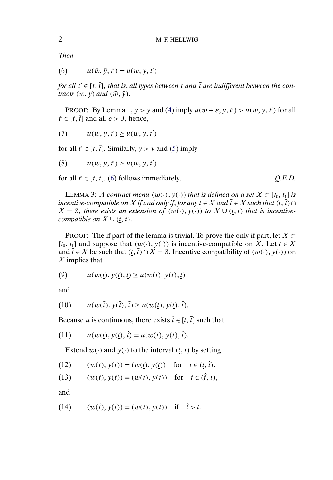*Then*

(6) 
$$
u(\bar{w}, \bar{y}, t') = u(w, y, t')
$$

*for all*  $t' \in [t, \overline{t}]$ , that is, all types between t and  $\overline{t}$  are indifferent between the con*tracts*  $(w, y)$  *and*  $(\bar{w}, \bar{y})$ .

PROOF: By Lemma [1,](#page-0-0)  $y > \bar{y}$  and [\(4\)](#page-0-0) imply  $u(w + \varepsilon, y, t') > u(\bar{w}, \bar{y}, t')$  for all  $t' \in [t, \bar{t}]$  and all  $\varepsilon > 0$ , hence,

$$
(7) \qquad u(w, y, t') \ge u(\bar{w}, \bar{y}, t')
$$

for all  $t' \in [t, \bar{t}]$ . Similarly,  $y > \bar{y}$  and [\(5\)](#page-0-0) imply

$$
(8) \qquad u(\bar{w}, \bar{y}, t') \ge u(w, y, t')
$$

for all  $t' \in [t, \bar{t}]$ . (6) follows immediately.  $Q.E.D.$ 

LEMMA 3: *A contract menu*  $(w(\cdot), y(\cdot))$  *that is defined on a set*  $X \subset [t_0, t_1]$  *is incentive-compatible on X if and only if, for any*  $t \in X$  *and*  $\overline{t} \in X$  *such that*  $(t, \overline{t}) \cap$  $X = \emptyset$ , there exists an extension of  $(w(\cdot), y(\cdot))$  to  $X \cup (t, \overline{t})$  that is incentive*compatible on*  $X \cup (t, \overline{t})$ .

PROOF: The if part of the lemma is trivial. To prove the only if part, let  $X \subset$ [ $t_0, t_1$ ] and suppose that  $(w(\cdot), y(\cdot))$  is incentive-compatible on X. Let  $t \in X$ and  $\bar{t}$  ∈ X be such that  $(\bar{t}, \bar{t})$  ∩  $X = \emptyset$ . Incentive compatibility of  $(w(\cdot), y(\cdot))$  on  $X$  implies that

$$
(9) \qquad u(w(\underline{t}), y(\underline{t}), \underline{t}) \ge u(w(\overline{t}), y(\overline{t}), \underline{t})
$$

and

(10) 
$$
u(w(\overline{t}), y(\overline{t}), \overline{t}) \geq u(w(\underline{t}), y(\underline{t}), \overline{t}).
$$

Because *u* is continuous, there exists  $\hat{t} \in [t, \bar{t}]$  such that

(11) 
$$
u(w(\underline{t}), y(\underline{t}), \hat{t}) = u(w(\bar{t}), y(\bar{t}), \hat{t}).
$$

Extend  $w(\cdot)$  and  $y(\cdot)$  to the interval  $(t, \bar{t})$  by setting

(12) 
$$
(w(t), y(t)) = (w(\underline{t}), y(\underline{t})) \text{ for } t \in (\underline{t}, \hat{t}),
$$

(13) 
$$
(w(t), y(t)) = (w(\bar{t}), y(\bar{t})) \text{ for } t \in (\hat{t}, \bar{t}),
$$

and

(14) 
$$
(w(\hat{t}), y(\hat{t})) = (w(\bar{t}), y(\bar{t}))
$$
 if  $\hat{t} > \underline{t}$ .

<span id="page-1-0"></span>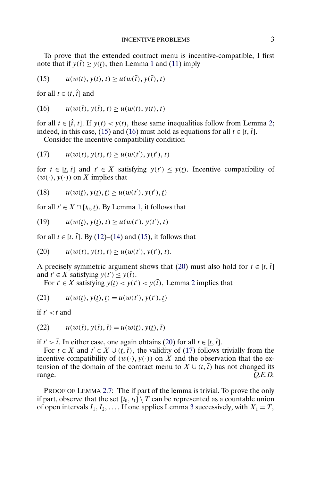To prove that the extended contract menu is incentive-compatible, I first note that if  $y(\bar{t}) \ge y(t)$ , then Lemma [1](#page-0-0) and [\(11\)](#page-1-0) imply

(15) 
$$
u(w(t), y(t), t) \ge u(w(\bar{t}), y(\bar{t}), t)
$$

for all  $t \in (t, \hat{t}]$  and

(16) 
$$
u(w(\bar{t}), y(\bar{t}), t) \ge u(w(\underline{t}), y(\underline{t}), t)
$$

for all  $t \in [\hat{t}, \overline{t}]$ . If  $y(\overline{t}) < y(\underline{t})$ , these same inequalities follow from Lemma [2;](#page-0-0) indeed, in this case, (15) and (16) must hold as equations for all  $t \in [\underline{t}, \overline{t}]$ .

Consider the incentive compatibility condition

$$
(17) \qquad u(w(t), y(t), t) \ge u(w(t'), y(t'), t)
$$

for  $t \in [t, \bar{t}]$  and  $t' \in X$  satisfying  $y(t') \leq y(t)$ . Incentive compatibility of  $(w(\cdot), y(\cdot))$  on X implies that

(18) 
$$
u(w(\underline{t}), y(\underline{t}), \underline{t}) \ge u(w(t'), y(t'), \underline{t})
$$

for all  $t' \in X \cap [t_0, t)$ . By Lemma [1,](#page-0-0) it follows that

(19) 
$$
u(w(t), y(t), t) \ge u(w(t'), y(t'), t)
$$

for all  $t \in [t, \bar{t}]$ . By [\(12\)](#page-1-0)–[\(14\)](#page-1-0) and (15), it follows that

(20) 
$$
u(w(t), y(t), t) \ge u(w(t'), y(t'), t).
$$

A precisely symmetric argument shows that (20) must also hold for  $t \in [t, \bar{t}]$ and  $t' \in X$  satisfying  $y(t') \leq y(\bar{t})$ .

For  $t' \in X$  satisfying  $y(t) < y(t') < y(\bar{t})$ , Lemma [2](#page-0-0) implies that

(21) 
$$
u(w(t), y(t), t) = u(w(t'), y(t'), t)
$$

if  $t' < t$  and

(22) 
$$
u(w(\bar{t}), y(\bar{t}), \bar{t}) = u(w(\underline{t}), y(\underline{t}), \bar{t})
$$

if  $t' > \overline{t}$ . In either case, one again obtains (20) for all  $t \in [\underline{t}, \overline{t}]$ .

For  $t \in X$  and  $t' \in X \cup (t, \overline{t})$ , the validity of (17) follows trivially from the incentive compatibility of  $(w(\cdot), y(\cdot))$  on X and the observation that the extension of the domain of the contract menu to  $X \cup (t, \bar{t})$  has not changed its range. *Q.E.D.*

PROOF OF LEMMA [2.7:](#page-0-0) The if part of the lemma is trivial. To prove the only if part, observe that the set  $[t_0, t_1] \setminus T$  can be represented as a countable union of open intervals  $I_1, I_2, \ldots$  If one applies Lemma [3](#page-1-0) successively, with  $X_1 = T$ ,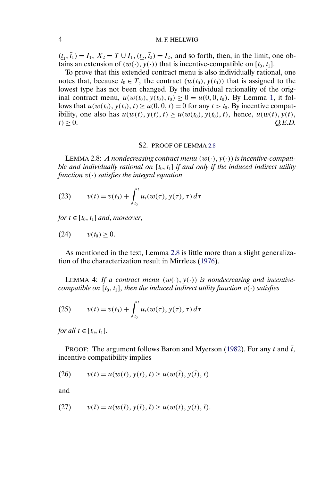$(t_1, \bar{t}_1) = I_1, X_2 = T \cup I_1, (t_2, \bar{t}_2) = I_2$ , and so forth, then, in the limit, one obtains an extension of  $(w(\cdot), y(\cdot))$  that is incentive-compatible on  $[t_0, t_1]$ .

To prove that this extended contract menu is also individually rational, one notes that, because  $t_0 \in T$ , the contract  $(w(t_0), y(t_0))$  that is assigned to the lowest type has not been changed. By the individual rationality of the original contract menu,  $u(w(t_0), y(t_0), t_0) \ge 0 = u(0, 0, t_0)$ . By Lemma [1,](#page-0-0) it follows that  $u(w(t_0), y(t_0), t) \ge u(0, 0, t) = 0$  for any  $t > t_0$ . By incentive compatibility, one also has  $u(w(t), y(t), t) \ge u(w(t_0), y(t_0), t)$ , hence,  $u(w(t), y(t), t)$  $t \geq 0.$  Q.E.D.

### S2. PROOF OF LEMMA 2.8

LEMMA 2.8: A nondecreasing contract menu  $(w(\cdot), y(\cdot))$  is incentive-compatible and individually rational on  $[t_0, t_1]$  if and only if the induced indirect utility *function* v(·) *satisfies the integral equation*

(23) 
$$
v(t) = v(t_0) + \int_{t_0}^t u_t(w(\tau), y(\tau), \tau) d\tau
$$

*for*  $t \in [t_0, t_1]$  *and*, *moreover*,

$$
(24) \qquad v(t_0) \geq 0.
$$

As mentioned in the text, Lemma 2.8 is little more than a slight generalization of the characterization result in Mirrlees [\(1976\)](#page-9-0).

LEMMA 4: If a contract menu  $(w(\cdot), y(\cdot))$  is nondecreasing and incentive- $\emph{compatible on}$  [ $t_0, t_1$ ], then the induced indirect utility function  $v(\cdot)$  satisfies

(25) 
$$
v(t) = v(t_0) + \int_{t_0}^t u_t(w(\tau), y(\tau), \tau) d\tau
$$

*for all*  $t \in [t_0, t_1]$ .

PROOF: The argument follows Baron and Myerson [\(1982\)](#page-9-0). For any t and  $\bar{t}$ , incentive compatibility implies

(26) 
$$
v(t) = u(w(t), y(t), t) \ge u(w(\bar{t}), y(\bar{t}), t)
$$

and

(27) 
$$
v(\bar{t}) = u(w(\bar{t}), y(\bar{t}), \bar{t}) \ge u(w(t), y(t), \bar{t}).
$$

<span id="page-3-0"></span>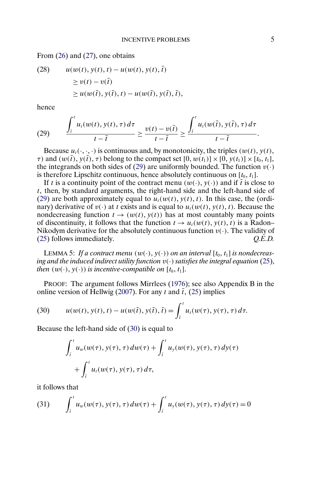<span id="page-4-0"></span>From [\(26\)](#page-3-0) and [\(27\)](#page-3-0), one obtains

(28) 
$$
u(w(t), y(t), t) - u(w(t), y(t), \overline{t})
$$

$$
\geq v(t) - v(\overline{t})
$$

$$
\geq u(w(\overline{t}), y(\overline{t}), t) - u(w(\overline{t}), y(\overline{t}), \overline{t}),
$$

hence

(29) 
$$
\frac{\int_{\overline{t}}^t u_t(w(t), y(t), \tau) d\tau}{t - \overline{t}} \geq \frac{v(t) - v(\overline{t})}{t - \overline{t}} \geq \frac{\int_{\overline{t}}^t u_t(w(\overline{t}), y(\overline{t}), \tau) d\tau}{t - \overline{t}}.
$$

Because  $u_t(\cdot, \cdot, \cdot)$  is continuous and, by monotonicity, the triples  $(w(t), y(t),$  $\tau$ ) and  $(w(\bar{t}), y(\bar{t}), \tau)$  belong to the compact set  $[0, w(t_1)] \times [0, y(t_1)] \times [t_0, t_1]$ , the integrands on both sides of (29) are uniformly bounded. The function  $v(\cdot)$ is therefore Lipschitz continuous, hence absolutely continuous on  $[t_0, t_1]$ .

If t is a continuity point of the contract menu  $(w(\cdot), y(\cdot))$  and if  $\bar{t}$  is close to  $t$ , then, by standard arguments, the right-hand side and the left-hand side of (29) are both approximately equal to  $u_t(w(t), y(t), t)$ . In this case, the (ordinary) derivative of  $v(\cdot)$  at t exists and is equal to  $u_t(w(t), y(t), t)$ . Because the nondecreasing function  $t \to (w(t), y(t))$  has at most countably many points of discontinuity, it follows that the function  $t \to u_t(w(t), y(t), t)$  is a Radon– Nikodym derivative for the absolutely continuous function  $v(\cdot)$ . The validity of (25) follows immediately. *O.E.D.* [\(25\)](#page-3-0) follows immediately.

LEMMA 5: If a contract menu  $(w(\cdot), y(\cdot))$  on an interval  $[t_0, t_1]$  is nondecreas*ing and the induced indirect utility function* v(·) *satisfies the integral equation* [\(25\)](#page-3-0), *then*  $(w(\cdot), y(\cdot))$  *is incentive-compatible on*  $[t_0, t_1]$ *.* 

PROOF: The argument follows Mirrlees [\(1976\)](#page-9-0); see also Appendix B in the online version of Hellwig [\(2007\)](#page-9-0). For any t and  $\bar{t}$ , [\(25\)](#page-3-0) implies

(30) 
$$
u(w(t), y(t), t) - u(w(\bar{t}), y(\bar{t}), \bar{t}) = \int_{\bar{t}}^{t} u_t(w(\tau), y(\tau), \tau) d\tau.
$$

Because the left-hand side of (30) is equal to

$$
\int_{\bar{i}}^{t} u_w(w(\tau), y(\tau), \tau) dw(\tau) + \int_{\bar{i}}^{t} u_y(w(\tau), y(\tau), \tau) dy(\tau) + \int_{\bar{i}}^{t} u_t(w(\tau), y(\tau), \tau) d\tau,
$$

it follows that

(31) 
$$
\int_{\bar{i}}^{t} u_w(w(\tau), y(\tau), \tau) dw(\tau) + \int_{\bar{i}}^{t} u_y(w(\tau), y(\tau), \tau) dy(\tau) = 0
$$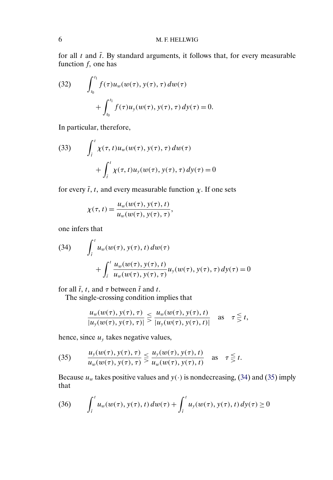for all  $t$  and  $\bar{t}$ . By standard arguments, it follows that, for every measurable function  $f$ , one has

(32) 
$$
\int_{t_0}^{t_1} f(\tau) u_w(w(\tau), y(\tau), \tau) dw(\tau) + \int_{t_0}^{t_1} f(\tau) u_y(w(\tau), y(\tau), \tau) dy(\tau) = 0.
$$

In particular, therefore,

(33) 
$$
\int_{\overline{t}}^{t} \chi(\tau, t) u_w(w(\tau), y(\tau), \tau) dw(\tau) + \int_{\overline{t}}^{t} \chi(\tau, t) u_y(w(\tau), y(\tau), \tau) dy(\tau) = 0
$$

for every  $\bar{t}$ ,  $t$ , and every measurable function  $\chi$ . If one sets

$$
\chi(\tau, t) = \frac{u_w(w(\tau), y(\tau), t)}{u_w(w(\tau), y(\tau), \tau)},
$$

one infers that

(34) 
$$
\int_{\bar{t}}^{t} u_{w}(w(\tau), y(\tau), t) dw(\tau) + \int_{\bar{t}}^{t} \frac{u_{w}(w(\tau), y(\tau), t)}{u_{w}(w(\tau), y(\tau), \tau)} u_{y}(w(\tau), y(\tau), \tau) dy(\tau) = 0
$$

for all  $\bar{t}$ ,  $t$ , and  $\tau$  between  $\bar{t}$  and  $t$ .

The single-crossing condition implies that

$$
\frac{u_w(w(\tau), y(\tau), \tau)}{|u_y(w(\tau), y(\tau), \tau)|} \leq \frac{u_w(w(\tau), y(\tau), t)}{|u_y(w(\tau), y(\tau), t)|} \text{ as } \tau \leq t,
$$

hence, since  $u<sub>y</sub>$  takes negative values,

(35) 
$$
\frac{u_y(w(\tau), y(\tau), \tau)}{u_w(w(\tau), y(\tau), \tau)} \leq \frac{u_y(w(\tau), y(\tau), t)}{u_w(w(\tau), y(\tau), t)} \text{ as } \tau \leq t.
$$

Because  $u_w$  takes positive values and  $y(\cdot)$  is nondecreasing, (34) and (35) imply that

(36) 
$$
\int_{\bar{t}}^{t} u_{w}(w(\tau), y(\tau), t) dw(\tau) + \int_{\bar{t}}^{t} u_{y}(w(\tau), y(\tau), t) dy(\tau) \ge 0
$$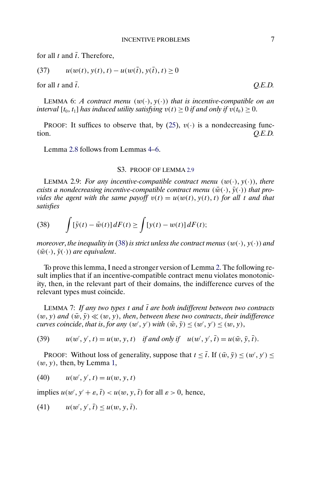<span id="page-6-0"></span>for all t and  $\bar{t}$ . Therefore,

$$
(37) \qquad u(w(t), y(t), t) - u(w(\bar{t}), y(\bar{t}), t) \ge 0
$$

for all t and  $\bar{t}$ ,  $O.E.D.$ 

LEMMA 6: A contract menu  $(w(\cdot), y(\cdot))$  that is incentive-compatible on an *interval*  $[t_0, t_1]$  *has induced utility satisfying*  $v(t) \ge 0$  *if and only if*  $v(t_0) \ge 0$ .

PROOF: It suffices to observe that, by  $(25)$ ,  $v(\cdot)$  is a nondecreasing function. *Q.E.D.*

Lemma [2.8](#page-3-0) follows from Lemmas [4–](#page-3-0)6.

## S3. PROOF OF LEMMA 2.9

LEMMA 2.9: For any incentive-compatible contract menu  $(w(\cdot), y(\cdot))$ , there *exists a nondecreasing incentive-compatible contract menu*  $(\bar{w}(\cdot), \bar{y}(\cdot))$  *that provides the agent with the same payoff*  $v(t) = u(w(t), y(t), t)$  *for all t and that satisfies*

(38) 
$$
\int [\bar{y}(t) - \bar{w}(t)] dF(t) \ge \int [y(t) - w(t)] dF(t);
$$

*moreover, the inequality in (*38) *is strict unless the contract menus*  $(w(\cdot), y(\cdot))$  *and*  $(\bar{w}(\cdot), \bar{y}(\cdot))$  are equivalent.

To prove this lemma, I need a stronger version of Lemma [2.](#page-0-0) The following result implies that if an incentive-compatible contract menu violates monotonicity, then, in the relevant part of their domains, the indifference curves of the relevant types must coincide.

LEMMA 7: If any two types t and  $\bar{t}$  are both indifferent between two contracts  $(w, y)$  and  $(\bar{w}, \bar{y}) \ll (w, y)$ , then, between these two contracts, their indifference *curves coincide, that is, for any*  $(w', y')$  *with*  $(\bar{w}, \bar{y}) \leq (w', y') \leq (w, y)$ ,

(39)  $u(w', y', t) = u(w, y, t)$  *if and only if*  $u(w', y', \overline{t}) = u(\overline{w}, \overline{y}, \overline{t})$ .

PROOF: Without loss of generality, suppose that  $t \leq \overline{t}$ . If  $(\overline{w}, \overline{y}) \leq (w', y') \leq$  $(w, y)$ , then, by Lemma [1,](#page-0-0)

(40) 
$$
u(w', y', t) = u(w, y, t)
$$

implies  $u(w', y' + \varepsilon, \overline{t}) < u(w, y, \overline{t})$  for all  $\varepsilon > 0$ , hence,

(41) 
$$
u(w', y', \bar{t}) \leq u(w, y, \bar{t}).
$$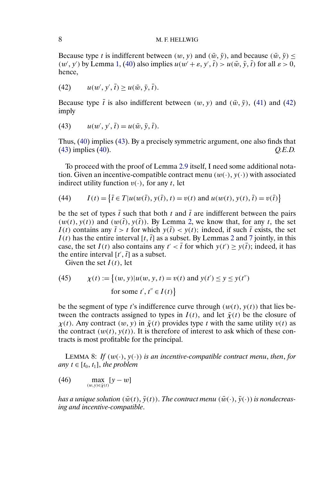## <span id="page-7-0"></span>8 M. F. HELLWIG

Because type t is indifferent between  $(w, y)$  and  $(\bar{w}, \bar{y})$ , and because  $(\bar{w}, \bar{y}) \leq$  $(w', y')$  by Lemma [1,](#page-0-0) [\(40\)](#page-6-0) also implies  $u(w' + \varepsilon, y', \overline{t}) > u(\overline{w}, \overline{y}, \overline{t})$  for all  $\varepsilon > 0$ , hence,

(42) 
$$
u(w', y', \overline{t}) \geq u(\overline{w}, \overline{y}, \overline{t}).
$$

Because type  $\bar{t}$  is also indifferent between  $(w, y)$  and  $(\bar{w}, \bar{y})$ , [\(41\)](#page-6-0) and (42) imply

(43)  $u(w', y', \overline{t}) = u(\overline{w}, \overline{y}, \overline{t}).$ 

Thus, [\(40\)](#page-6-0) implies (43). By a precisely symmetric argument, one also finds that (43) implies [\(40\)](#page-6-0). *Q.E.D.*

To proceed with the proof of Lemma [2.9](#page-6-0) itself, I need some additional notation. Given an incentive-compatible contract menu  $(w(\cdot), y(\cdot))$  with associated indirect utility function  $v(\cdot)$ , for any t, let

(44) 
$$
I(t) = \{ \bar{t} \in T | u(w(\bar{t}), y(\bar{t}), t) = v(t) \text{ and } u(w(t), y(t), \bar{t}) = v(\bar{t}) \}
$$

be the set of types  $\bar{t}$  such that both t and  $\bar{t}$  are indifferent between the pairs  $(w(t), y(t))$  and  $(w(\bar{t}), y(\bar{t}))$ . By Lemma [2,](#page-0-0) we know that, for any t, the set  $I(t)$  contains any  $\bar{t} > t$  for which  $y(\bar{t}) < y(t)$ ; indeed, if such  $\bar{t}$  exists, the set  $I(t)$  has the entire interval [t,  $\bar{t}$ ] as a subset. By Lemmas [2](#page-0-0) and [7](#page-6-0) jointly, in this case, the set  $I(t)$  also contains any  $t' < \bar{t}$  for which  $y(t') \ge y(\bar{t})$ ; indeed, it has the entire interval  $[t', \bar{t}]$  as a subset.

Given the set  $I(t)$ , let

(45) 
$$
\chi(t) := \{(w, y) | u(w, y, t) = v(t) \text{ and } y(t') \le y \le y(t'') \text{ for some } t', t'' \in I(t) \}
$$

be the segment of type t's indifference curve through  $(w(t), y(t))$  that lies between the contracts assigned to types in  $I(t)$ , and let  $\bar{\chi}(t)$  be the closure of  $\chi(t)$ . Any contract  $(w, y)$  in  $\bar{\chi}(t)$  provides type t with the same utility  $v(t)$  as the contract  $(w(t), y(t))$ . It is therefore of interest to ask which of these contracts is most profitable for the principal.

LEMMA 8: If  $(w(\cdot), y(\cdot))$  *is an incentive-compatible contract menu, then, for*  $any \t{t} \in [t_0, t_1],$  the problem

(46)  $\max_{(w,y)\in \bar{\chi}(t)} [y-w]$ 

has a unique solution  $(\bar{w}(t),\bar{y}(t))$ . The contract menu  $(\bar{w}(\cdot),\bar{y}(\cdot))$  is nondecreas*ing and incentive-compatible*.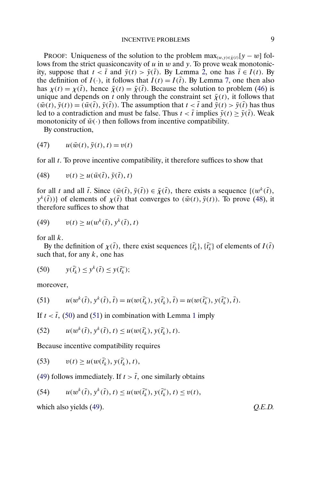PROOF: Uniqueness of the solution to the problem  $\max_{(w,y)\in \bar{\chi}(t)} [y-w]$  follows from the strict quasiconcavity of  $u$  in  $w$  and  $y$ . To prove weak monotonicity, suppose that  $t < \bar{t}$  and  $\bar{y}(t) > \bar{y}(\bar{t})$ . By Lemma [2,](#page-0-0) one has  $\bar{t} \in I(t)$ . By the definition of  $I(\cdot)$ , it follows that  $I(t) = I(\bar{t})$ . By Lemma [7,](#page-6-0) one then also has  $\chi(t) = \chi(\bar{t})$ , hence  $\bar{\chi}(t) = \bar{\chi}(\bar{t})$ . Because the solution to problem [\(46\)](#page-7-0) is unique and depends on t only through the constraint set  $\bar{\chi}(t)$ , it follows that  $(\bar{w}(t), \bar{y}(t)) = (\bar{w}(\bar{t}), \bar{y}(\bar{t}))$ . The assumption that  $t < \bar{t}$  and  $\bar{y}(t) > \bar{y}(\bar{t})$  has thus led to a contradiction and must be false. Thus  $t < \bar{t}$  implies  $\bar{y}(t) \ge \bar{y}(\bar{t})$ . Weak monotonicity of  $\bar{w}(\cdot)$  then follows from incentive compatibility.

By construction,

$$
(47) \qquad u(\bar{w}(t), \bar{y}(t), t) = v(t)
$$

for all  $t$ . To prove incentive compatibility, it therefore suffices to show that

$$
(48) \qquad v(t) \ge u(\bar{w}(\bar{t}), \bar{y}(\bar{t}), t)
$$

for all t and all  $\bar{t}$ . Since  $(\bar{w}(\bar{t}), \bar{y}(\bar{t})) \in \bar{\chi}(\bar{t})$ , there exists a sequence  $\{(w^k(\bar{t}), \bar{y}(\bar{t}))\}$  $y^k(\bar{t})$ } of elements of  $\chi(\bar{t})$  that converges to  $(\bar{w}(t), \bar{y}(t))$ . To prove (48), it therefore suffices to show that

$$
(49) \qquad v(t) \ge u(w^k(\overline{t}), y^k(\overline{t}), t)
$$

for all  $k$ .

By the definition of  $\chi(\bar{t})$ , there exist sequences  $\{\bar{t}'_k\}$ ,  $\{\bar{t}''_k\}$  of elements of  $I(\bar{t})$ such that, for any  $k$ , one has

$$
(50) \t y(\bar{t}'_k) \le y^k(\bar{t}) \le y(\bar{t}''_k);
$$

moreover,

(51) 
$$
u(w^k(\bar{t}), y^k(\bar{t}), \bar{t}) = u(w(\bar{t}'_k), y(\bar{t}'_k), \bar{t}) = u(w(\bar{t}''_k), y(\bar{t}''_k), \bar{t}).
$$

If  $t < \overline{t}$ , (50) and (5[1](#page-0-0)) in combination with Lemma 1 imply

(52) 
$$
u(w^k(\bar{t}), y^k(\bar{t}), t) \le u(w(\bar{t}'_k), y(\bar{t}'_k), t).
$$

Because incentive compatibility requires

$$
(53) \t v(t) \geq u(w(\bar{t}'_k), y(\bar{t}'_k), t),
$$

(49) follows immediately. If  $t > \overline{t}$ , one similarly obtains

(54) 
$$
u(w^k(\bar{t}), y^k(\bar{t}), t) \le u(w(\bar{t}_k''), y(\bar{t}_k''), t) \le v(t),
$$

which also yields (49).  $Q.E.D.$